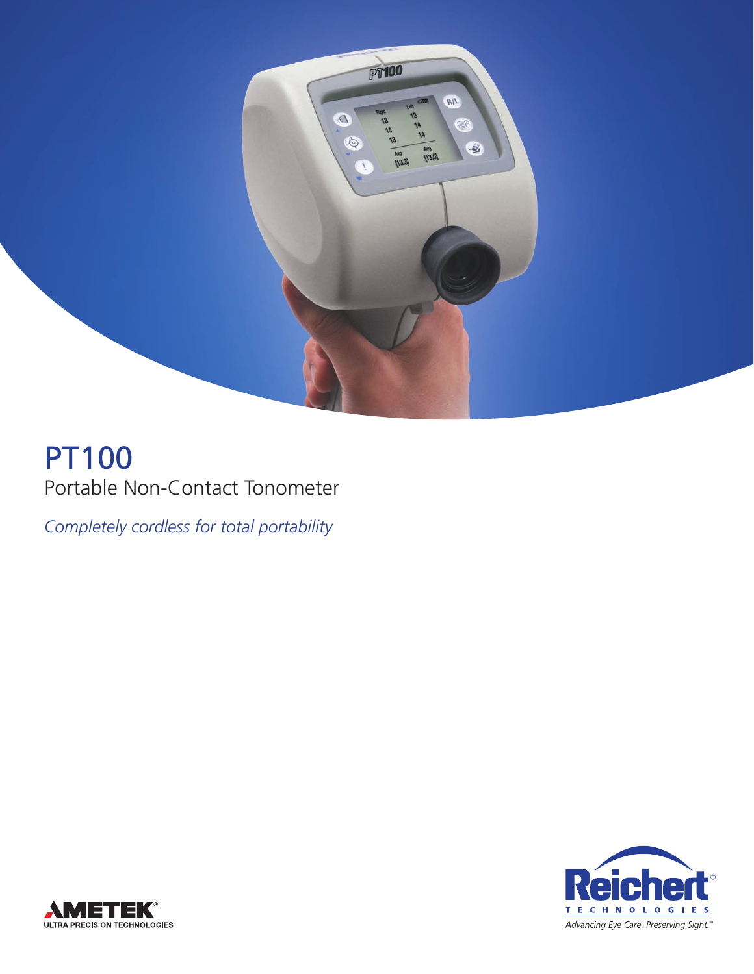

# PT100 Portable Non-Contact Tonometer

*Completely cordless for total portability*